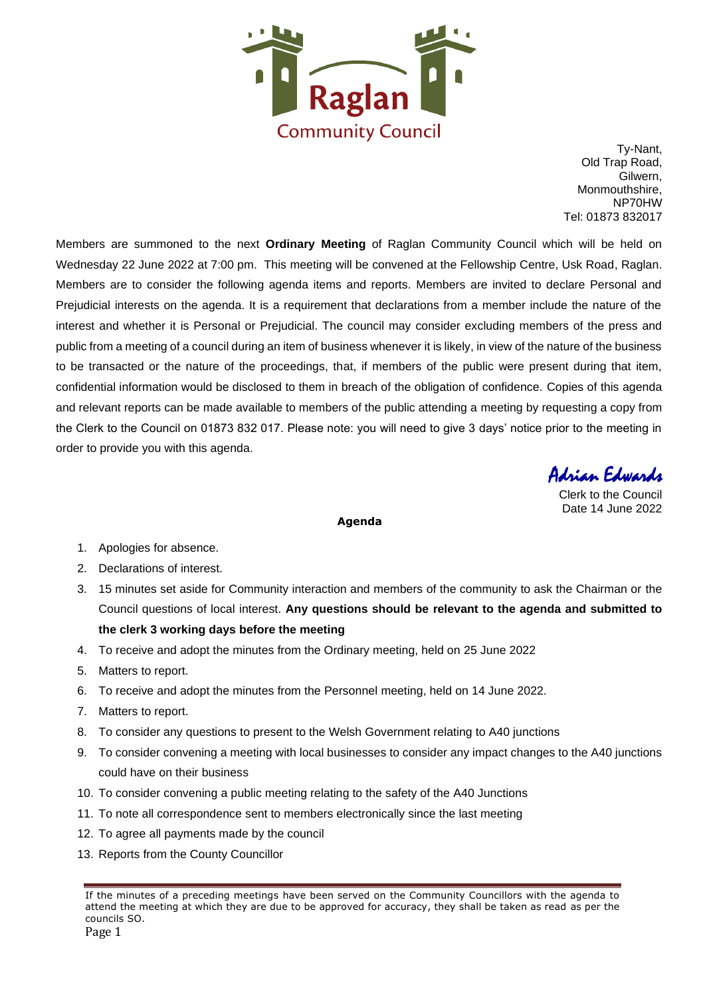

Ty-Nant, Old Trap Road, Gilwern, Monmouthshire, NP70HW Tel: 01873 832017

Members are summoned to the next **Ordinary Meeting** of Raglan Community Council which will be held on Wednesday 22 June 2022 at 7:00 pm. This meeting will be convened at the Fellowship Centre, Usk Road, Raglan. Members are to consider the following agenda items and reports. Members are invited to declare Personal and Prejudicial interests on the agenda. It is a requirement that declarations from a member include the nature of the interest and whether it is Personal or Prejudicial. The council may consider excluding members of the press and public from a meeting of a council during an item of business whenever it is likely, in view of the nature of the business to be transacted or the nature of the proceedings, that, if members of the public were present during that item, confidential information would be disclosed to them in breach of the obligation of confidence. Copies of this agenda and relevant reports can be made available to members of the public attending a meeting by requesting a copy from the Clerk to the Council on 01873 832 017. Please note: you will need to give 3 days' notice prior to the meeting in order to provide you with this agenda.

Adrian Edwards

Clerk to the Council Date 14 June 2022

#### **Agenda**

- 1. Apologies for absence.
- 2. Declarations of interest.
- 3. 15 minutes set aside for Community interaction and members of the community to ask the Chairman or the Council questions of local interest. **Any questions should be relevant to the agenda and submitted to the clerk 3 working days before the meeting**
- 4. To receive and adopt the minutes from the Ordinary meeting, held on 25 June 2022
- 5. Matters to report.
- 6. To receive and adopt the minutes from the Personnel meeting, held on 14 June 2022.
- 7. Matters to report.
- 8. To consider any questions to present to the Welsh Government relating to A40 junctions
- 9. To consider convening a meeting with local businesses to consider any impact changes to the A40 junctions could have on their business
- 10. To consider convening a public meeting relating to the safety of the A40 Junctions
- 11. To note all correspondence sent to members electronically since the last meeting
- 12. To agree all payments made by the council
- 13. Reports from the County Councillor

If the minutes of a preceding meetings have been served on the Community Councillors with the agenda to attend the meeting at which they are due to be approved for accuracy, they shall be taken as read as per the councils SO.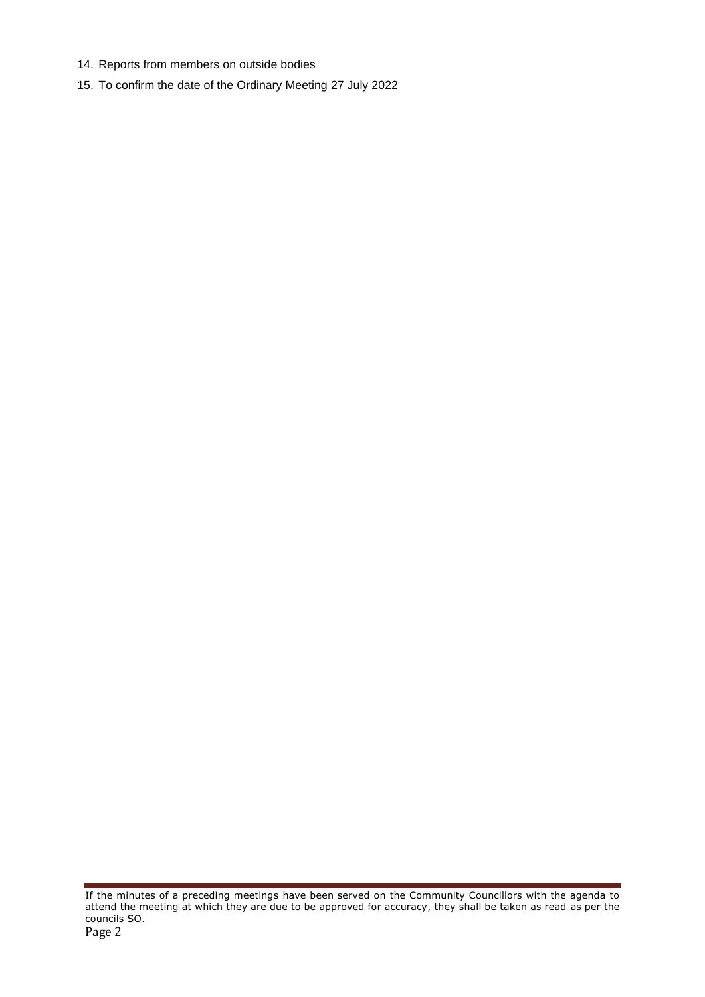- 14. Reports from members on outside bodies
- 15. To confirm the date of the Ordinary Meeting 27 July 2022

If the minutes of a preceding meetings have been served on the Community Councillors with the agenda to attend the meeting at which they are due to be approved for accuracy, they shall be taken as read as per the councils SO.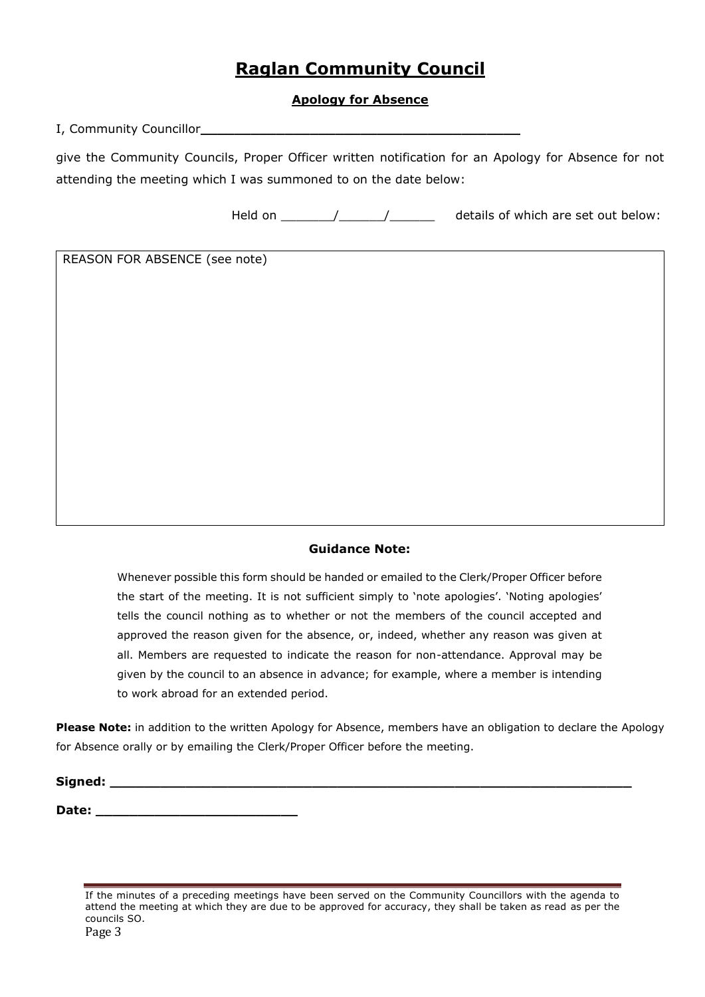# **Raglan Community Council**

## **Apology for Absence**

I, Community Councillor**\_\_\_\_\_\_\_\_\_\_\_\_\_\_\_\_\_\_\_\_\_\_\_\_\_\_\_\_\_\_\_\_\_\_\_\_\_\_** 

give the Community Councils, Proper Officer written notification for an Apology for Absence for not attending the meeting which I was summoned to on the date below:

Held on  $\frac{1}{2}$  /  $\frac{1}{2}$  details of which are set out below:

REASON FOR ABSENCE (see note)

### **Guidance Note:**

Whenever possible this form should be handed or emailed to the Clerk/Proper Officer before the start of the meeting. It is not sufficient simply to 'note apologies'. 'Noting apologies' tells the council nothing as to whether or not the members of the council accepted and approved the reason given for the absence, or, indeed, whether any reason was given at all. Members are requested to indicate the reason for non-attendance. Approval may be given by the council to an absence in advance; for example, where a member is intending to work abroad for an extended period.

**Please Note:** in addition to the written Apology for Absence, members have an obligation to declare the Apology for Absence orally or by emailing the Clerk/Proper Officer before the meeting.

**Signed: \_\_\_\_\_\_\_\_\_\_\_\_\_\_\_\_\_\_\_\_\_\_\_\_\_\_\_\_\_\_\_\_\_\_\_\_\_\_\_\_\_\_\_\_\_\_\_\_\_\_\_\_\_\_\_\_\_\_\_\_\_\_**

**Date: \_\_\_\_\_\_\_\_\_\_\_\_\_\_\_\_\_\_\_\_\_\_\_\_**

If the minutes of a preceding meetings have been served on the Community Councillors with the agenda to attend the meeting at which they are due to be approved for accuracy, they shall be taken as read as per the councils SO.